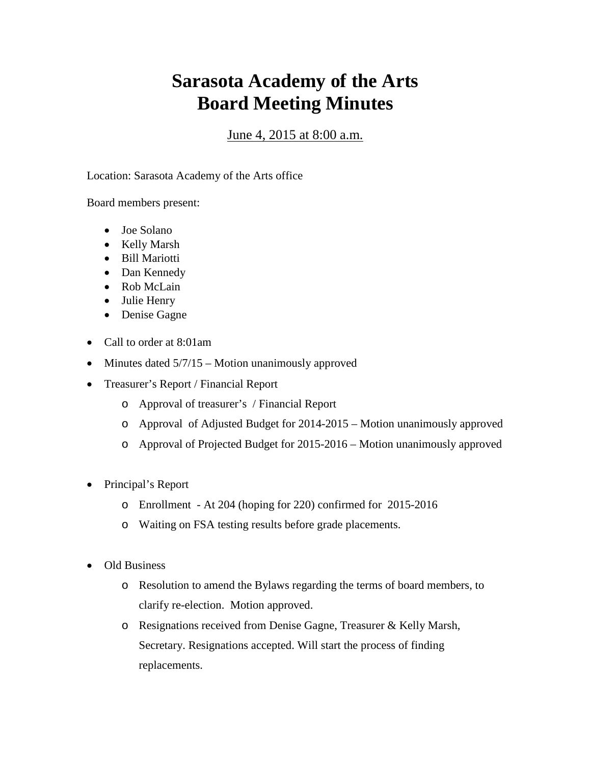## **Sarasota Academy of the Arts Board Meeting Minutes**

## June 4, 2015 at 8:00 a.m.

Location: Sarasota Academy of the Arts office

Board members present:

- Joe Solano
- Kelly Marsh
- Bill Mariotti
- Dan Kennedy
- Rob McLain
- Julie Henry
- Denise Gagne
- Call to order at 8:01am
- Minutes dated  $5/7/15$  Motion unanimously approved
- Treasurer's Report / Financial Report
	- o Approval of treasurer's / Financial Report
	- o Approval of Adjusted Budget for 2014-2015 Motion unanimously approved
	- o Approval of Projected Budget for 2015-2016 Motion unanimously approved
- Principal's Report
	- o Enrollment At 204 (hoping for 220) confirmed for 2015-2016
	- o Waiting on FSA testing results before grade placements.
- Old Business
	- o Resolution to amend the Bylaws regarding the terms of board members, to clarify re-election. Motion approved.
	- o Resignations received from Denise Gagne, Treasurer & Kelly Marsh, Secretary. Resignations accepted. Will start the process of finding replacements.